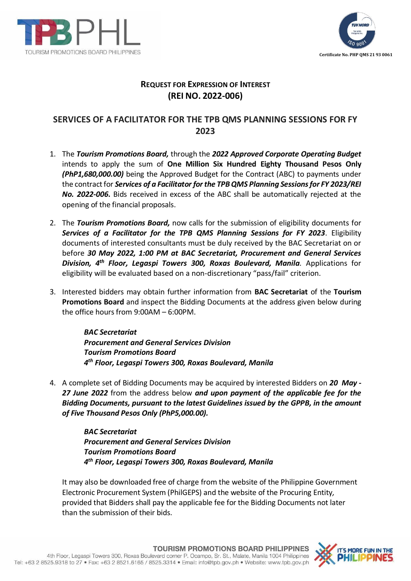



## **REQUEST FOR EXPRESSION OF INTEREST (REI NO. 2022-006)**

## **SERVICES OF A FACILITATOR FOR THE TPB QMS PLANNING SESSIONS FOR FY 2023**

- 1. The *Tourism Promotions Board,* through the *2022 Approved Corporate Operating Budget* intends to apply the sum of **One Million Six Hundred Eighty Thousand Pesos Only**  *(PhP1,680,000.00)* being the Approved Budget for the Contract (ABC) to payments under the contract for *Services of a Facilitator for the TPB QMS Planning Sessions for FY 2023/REI No. 2022-006***.** Bids received in excess of the ABC shall be automatically rejected at the opening of the financial proposals.
- 2. The *Tourism Promotions Board,* now calls for the submission of eligibility documents for *Services of a Facilitator for the TPB QMS Planning Sessions for FY 2023*. Eligibility documents of interested consultants must be duly received by the BAC Secretariat on or before *30 May 2022, 1:00 PM at BAC Secretariat, Procurement and General Services Division, 4th Floor, Legaspi Towers 300, Roxas Boulevard, Manila.* Applications for eligibility will be evaluated based on a non-discretionary "pass/fail" criterion.
- 3. Interested bidders may obtain further information from **BAC Secretariat** of the **Tourism Promotions Board** and inspect the Bidding Documents at the address given below during the office hours from 9:00AM – 6:00PM.

*BAC Secretariat Procurement and General Services Division Tourism Promotions Board 4 th Floor, Legaspi Towers 300, Roxas Boulevard, Manila*

4. A complete set of Bidding Documents may be acquired by interested Bidders on *20 May - 27 June 2022* from the address below *and upon payment of the applicable fee for the Bidding Documents, pursuant to the latest Guidelines issued by the GPPB, in the amount of Five Thousand Pesos Only (PhP5,000.00).*

> *BAC Secretariat Procurement and General Services Division Tourism Promotions Board 4 th Floor, Legaspi Towers 300, Roxas Boulevard, Manila*

It may also be downloaded free of charge from the website of the Philippine Government Electronic Procurement System (PhilGEPS) and the website of the Procuring Entity*,*  provided that Bidders shall pay the applicable fee for the Bidding Documents not later than the submission of their bids.